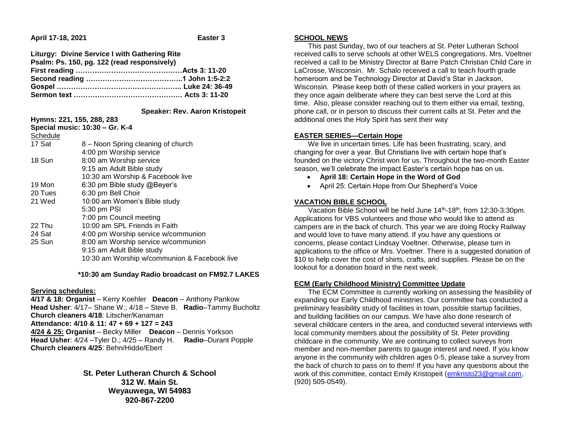**April 17-18, 2021 Easter 3**

| Liturgy: Divine Service I with Gathering Rite |  |
|-----------------------------------------------|--|
| Psalm: Ps. 150, pg. 122 (read responsively)   |  |
|                                               |  |
|                                               |  |
|                                               |  |
|                                               |  |

 **Speaker: Rev. Aaron Kristopeit**

| Hymns: 221, 155, 288, 283      |                                              |  |
|--------------------------------|----------------------------------------------|--|
| Special music: 10:30 - Gr. K-4 |                                              |  |
| Schedule                       |                                              |  |
| 17 Sat                         | 8 - Noon Spring cleaning of church           |  |
|                                | 4:00 pm Worship service                      |  |
| 18 Sun                         | 8:00 am Worship service                      |  |
|                                | 9:15 am Adult Bible study                    |  |
|                                | 10:30 am Worship & Facebook live             |  |
| 19 Mon                         | 6:30 pm Bible study @Beyer's                 |  |
| 20 Tues                        | 6:30 pm Bell Choir                           |  |
| 21 Wed                         | 10:00 am Women's Bible study                 |  |
|                                | 5:30 pm PSI                                  |  |
|                                | 7:00 pm Council meeting                      |  |
| 22 Thu                         | 10:00 am SPL Friends in Faith                |  |
| 24 Sat                         | 4:00 pm Worship service w/communion          |  |
| 25 Sun                         | 8:00 am Worship service w/communion          |  |
|                                | 9:15 am Adult Bible study                    |  |
|                                | 10:30 am Worship w/communion & Facebook live |  |
|                                |                                              |  |

 **\*10:30 am Sunday Radio broadcast on FM92.7 LAKES**

### **Serving schedules:**

**4/17 & 18: Organist** – Kerry Koehler **Deacon** – Anthony Pankow **Head Usher**: 4/17– Shane W.; 4/18 – Steve B. **Radio**–Tammy Bucholtz **Church cleaners 4/18**: Litscher/Kanaman **Attendance: 4/10 & 11: 47 + 69 + 127 = 243 4/24 & 25: Organist** – Becky Miller **Deacon** – Dennis Yorkson **Head Usher**: 4/24 –Tyler D.; 4/25 – Randy H. **Radio**–Durant Popple **Church cleaners 4/25**: Behn/Hidde/Ebert

> **St. Peter Lutheran Church & School 312 W. Main St. Weyauwega, WI 54983 920-867-2200**

## **SCHOOL NEWS**

 This past Sunday, two of our teachers at St. Peter Lutheran School received calls to serve schools at other WELS congregations. Mrs. Voeltner received a call to be Ministry Director at Barre Patch Christian Child Care in LaCrosse, Wisconsin. Mr. Schalo received a call to teach fourth grade homeroom and be Technology Director at David's Star in Jackson, Wisconsin. Please keep both of these called workers in your prayers as they once again deliberate where they can best serve the Lord at this time. Also, please consider reaching out to them either via email, texting, phone call, or in person to discuss their current calls at St. Peter and the additional ones the Holy Spirit has sent their way

## **EASTER SERIES—Certain Hope**

 We live in uncertain times. Life has been frustrating, scary, and changing for over a year. But Christians live with certain hope that's founded on the victory Christ won for us. Throughout the two-month Easter season, we'll celebrate the impact Easter's certain hope has on us.

- **April 18: Certain Hope in the Word of God**
- April 25: Certain Hope from Our Shepherd's Voice

# **VACATION BIBLE SCHOOL**

 Vacation Bible School will be held June 14th-18th, from 12:30-3:30pm. Applications for VBS volunteers and those who would like to attend as campers are in the back of church. This year we are doing Rocky Railway and would love to have many attend. If you have any questions or concerns, please contact Lindsay Voeltner. Otherwise, please turn in applications to the office or Mrs. Voeltner. There is a suggested donation of \$10 to help cover the cost of shirts, crafts, and supplies. Please be on the lookout for a donation board in the next week.

## **ECM (Early Childhood Ministry) Committee Update**

 The ECM Committee is currently working on assessing the feasibility of expanding our Early Childhood ministries. Our committee has conducted a preliminary feasibility study of facilities in town, possible startup facilities, and building facilities on our campus. We have also done research of several childcare centers in the area, and conducted several interviews with local community members about the possibility of St. Peter providing childcare in the community. We are continuing to collect surveys from member and non-member parents to gauge interest and need. If you know anyone in the community with children ages 0-5, please take a survey from the back of church to pass on to them! If you have any questions about the work of this committee, contact Emily Kristopeit [\(emkristo23@gmail.com,](mailto:emkristo23@gmail.com) (920) 505-0549).